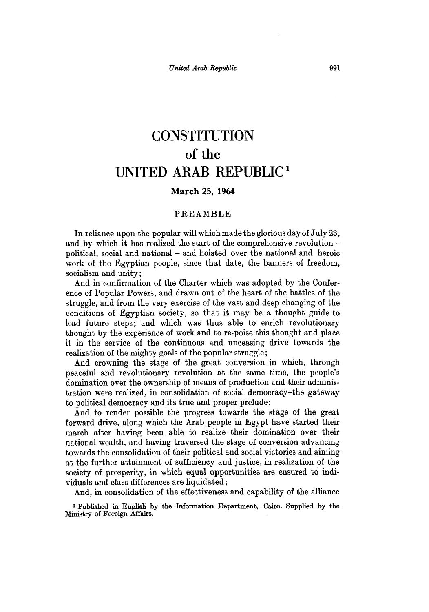# **CONSTITUTION of the UNITED ARAB REPUBLIC'**

## **March 25, 1964**

#### PREAMBLE

In reliance upon the popular will which made the glorious day of July **23,** and **by** which it has realized the start of the comprehensive revolution political, social and national **-** and hoisted over the national and heroic work of the Egyptian people, since that date, the banners of freedom, socialism and unity;

And in confirmation of the Charter which was adopted **by** the Conference of Popular Powers, and drawn out of the heart of the battles of the struggle, and from the very exercise of the vast and deep changing of the conditions of Egyptian society, so that it may be a thought guide to lead future steps; and which was thus able to enrich revolutionary thought **by** the experience of work and to re-poise this thought and place it in the service of the continuous and unceasing drive towards the realization of the mighty goals of the popular struggle;

And crowning the stage of the great conversion in which, through peaceful and revolutionary revolution at the same time, the people's domination over the ownership of means of production and their administration were realized, in consolidation of social democracy-the gateway to political democracy and its true and proper prelude;

And to render possible the progress towards the stage of the great forward drive, along which the Arab people in **Egypt** have started their march after having been able to realize their domination over their national wealth, and having traversed the stage of conversion advancing towards the consolidation of their political and social victories and aiming at the further attainment of sufficiency and justice, in realization of the society of prosperity, in which equal opportunities are ensured to individuals and class differences are liquidated;

And, in consolidation of the effectiveness and capability of the alliance

**I** Published in English **by** the Information Department, Cairo. Supplied **by** the Ministry of Foreign Affairs.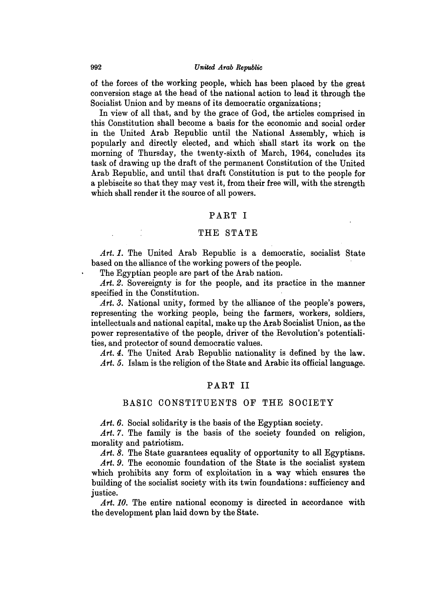of the forces of the working people, which has been placed **by** the great conversion stage at the head of the national action to lead it through the Socialist Union and **by** means of its democratic organizations;

In view of all that, and **by** the grace of God, the articles comprised in this Constitution shall become a basis for the economic and social order in the United Arab Republic until the National Assembly, which is popularly and directly elected, and which shall start its work on the morning of Thursday, the twenty-sixth of March, 1964, concludes its task of drawing up the draft of the permanent Constitution of the United Arab Republic, and until that draft Constitution is put to the people for a plebiscite so that they may vest it, from their free will, with the strength which shall render it the source of all powers.

## PART I

## THE **STATE**

Art. 1. The United Arab Republic is a democratic, socialist State based on the alliance of the working powers of the people.

The Egyptian people are part of the Arab nation.

Art. 2. Sovereignty is for the people, and its practice in the manner specified in the Constitution.

*Art. 3.* National unity, formed **by** the alliance of the people's powers, representing the working people, being the farmers, workers, soldiers, intellectuals and national capital, make up the Arab Socialist Union, as the power representative of the people, driver of the Revolution's potentialities, and protector of sound democratic values.

*Art.* 4. The United Arab Republic nationality is defined **by** the law. *Art.* **5.** Islam is the religion of the State and Arabic its official language.

#### PART II

## BASIC **CONSTITUENTS** OF **THE** SOCIETY

Art. 6. Social solidarity is the basis of the Egyptian society.

Art. 7. The family is the basis of the society founded on religion, morality and patriotism.

Art. 8. The State guarantees equality of opportunity to all Egyptians.

Art. 9. The economic foundation of the State is the socialist system which prohibits any form of exploitation in a way which ensures the building of the socialist society with its twin foundations: sufficiency and justice.

Art. 10. The entire national economy is directed in accordance with the development plan laid down **by** the State.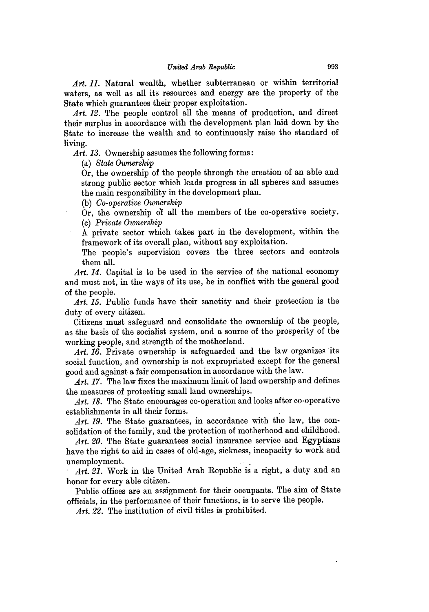*Art. 11.* Natural wealth, whether subterranean or within territorial waters, as well as all its resources and energy are the property of the State which guarantees their proper exploitation.

Art. 12. The people control all the means of production, and direct their surplus in accordance with the development plan laid down **by** the State to increase the wealth and to continuously raise the standard of living.

*Art. 13.* Ownership assumes the following forms:

(a) *State Ownership*

Or, the ownership of the people through the creation of an able and strong public sector which leads progress in all spheres and assumes the main responsibility in the development plan.

**(b)** *Co-operative Ownership*

Or, the ownership **df** all the members of the co-operative society. **(c)** *Private Ownership*

**A** private sector which takes part in the development, within the framework of its overall plan, without any exploitation.

The people's supervision covers the three sectors and controls them all.

Art. 14. Capital is to be used in the service of the national economy and must not, in the ways of its use, be in conflict with the general good of the people.

*Art. 15.* Public funds have their sanctity and their protection is the duty of every citizen.

Citizens must safeguard and consolidate the ownership of the people, as the basis of the socialist system, and a source of the prosperity of the working people, and strength of the motherland.

Art. 16. Private ownership is safeguarded and the law organizes its social function, and ownership is not expropriated except for the general good and against a fair compensation in accordance with the law.

Art. 17. The law fixes the maximum limit of land ownership and defines the measures of protecting small land ownerships.

*Art. 18.* The State encourages co-operation and looks after co-operative establishments in all their forms.

Art. 19. The State guarantees, in accordance with the law, the consolidation of the family, and the protection of motherhood and childhood.

Art. 20. The State guarantees social insurance service and Egyptians have the right to aid in cases of old-age, sickness, incapacity to work and unemployment.

*Art. 21.* Work in the United Arab Republic is a right, a duty and an honor for every able citizen.

Public offices are an assignment for their occupants. The aim of State officials, in the performance of their functions, is to serve the people.

*Art. 22.* The institution of civil titles is prohibited.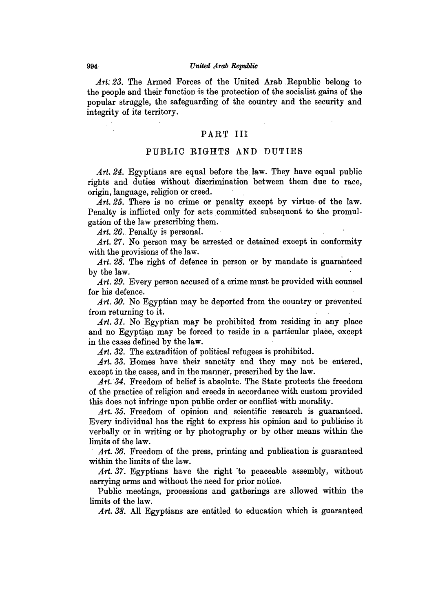#### 994 United Arab Republic

*Art. 23.* The Armed Forces of the United Arab Republic belong to the people and their function is the protection of the socialist gains of the popular struggle, the safeguarding of the country and the security and integrity of its territory.

## PART III

## PUBLIC RIGHTS **AND DUTIES**

Art. 24. Egyptians are equal before the law. They have equal public rights and duties without discrimination between them due to race, origin, language, religion or creed.

*Art. 25.* There is no crime or penalty except **by** virtue- of the law. Penalty is inflicted only for acts committed subsequent to the promulgation of the law prescribing them.

Art. 26. Penalty is personal.

Art. 27. No person may be arrested or detained except in conformity with the provisions of the law.

*Art. 28.* The right of defence in person or **by** mandate is guaranteed **by** the law.

Art. 29. Every person accused of a crime must be provided with counsel for his defence.

*Art. 30.* No Egyptian may be deported from the country or prevented from returning to it.

*Art. 31.* No Egyptian may be prohibited from residing in any place and no Egyptian may be forced to reside in a particular place, except in the cases defined **by** the law.

Art. 32. The extradition of political refugees is prohibited.

Art. 33. Homes have their sanctity and they may not be entered, except in the cases, and in the manner, prescribed **by** the law.

*Art. 34.* Freedom of belief is absolute. The State protects the freedom of the practice of religion and creeds in accordance with custom provided this does not infringe upon public order or conflict with morality.

Art. 35. Freedom of opinion and scientific research is guaranteed. Every individual has the rght to express his opinion and to publicise it verbally or in writing or **by** photography or **by** other means within the limits of the law.

Art. 36. Freedom of the press, printing and publication is guaranteed within the limits of the law.

Art. 37. Egyptians have the right to peaceable assembly, without carrying arms and without the need for prior notice.

Public meetings, processions and gatherings are allowed within the limits of the law.

*Art. 38.* **All** Egyptians are entitled to education which is guaranteed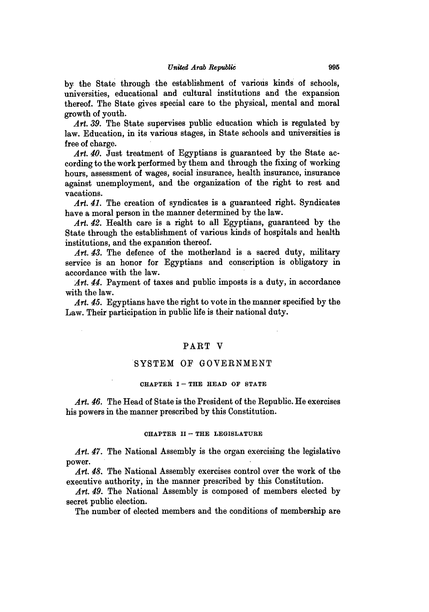**by** the State through the establishment of various kinds of schools, universities, educational and cultural institutions and the expansion thereof. The State gives special care to the physical, mental and moral growth of youth.

*Art. 39.* The State supervises public education which is regulated **by** law. Education, in its various stages, in State schools and universities is free of charge.

*Art. 40.* Just treatment of Egyptians is guaranteed **by** the State according to the work performed **by** them and through the fixing of working hours, assessment of wages, social insurance, health insurance, insurance against unemployment, and the organization of the right to rest and vacations.

Art. 41. The creation of syndicates is a guaranteed right. Syndicates have a moral person in the manner determined **by** the law.

*Art. 42.* Health care is a right to all Egyptians, guaranteed **by** the State through the establishment of various kinds of hospitals and health institutions, and the expansion thereof.

*Art. 43.* The defence of the motherland is a sacred duty, military service is an honor for Egyptians and conscription is obligatory in accordance with the law.

Art. 44. Payment of taxes and public imposts is a duty, in accordance with the law.

*Art. 45.* Egyptians have the right to vote in the manner specified **by** the Law. Their participation in public life is their national duty.

# PART V

## SYSTEM OF **GOVERNMENT**

#### CHAPTER I-THE HEAD OF STATE

Art. 46. The Head of State is the President of the Republic. He exercises his powers in the manner prescribed **by** this Constitution.

#### **CHAPTER II- THE LEGISLATURE**

*Art. 47.* The National Assembly is the organ exercising the legislative power.

*Art. 48.* The National Assembly exercises control over the work of the executive authority, in the manner prescribed **by** this Constitution.

*Art. 49.* The National Assembly is composed of members elected **by** secret public election.

The number of elected members and the conditions of membership are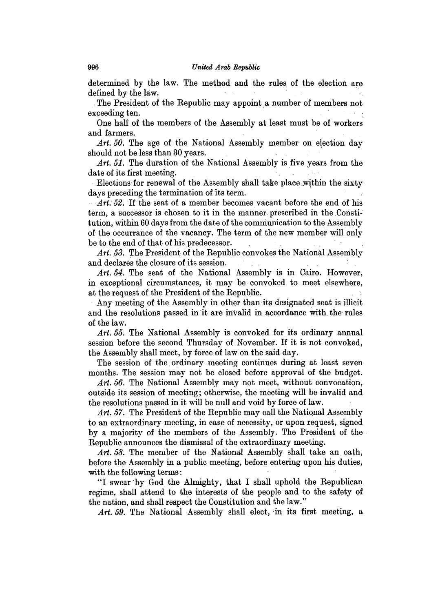#### *United Arab Republic*

determined **by** the law. The method and the rules of the election are defined **by** the law.

.The President of the Republic may appoint a number of members not exceeding ten.

One half of the members of the Assembly at least must **be** of workers and farmers.

Art. 50. The age of the National Assembly member on election day should not be less than **30** years.

*Art. 51.* The duration of the National Assembly is five years from the date of its first meeting.

Elections for renewal of the Assembly shall take place.within the sixty days preceding the termination of its term.

*Art. 52.* If the seat of a member becomes vacant before the end of his term, a successor is chosen. to it in the manner prescribed in the Constitution, within **60** days from the date of the communication to the Assembly of the occurrance of the vacancy. The term of the new member will only be to the end of that of his predecessor.

*Art. 53.* The President of the Republic convokes the National Assembly and declares the closure of its session.

*Art. 54.* The seat of the National Assembly is in Cairo. However, in exceptional circumstances, it may be convoked to meet elsewhere, at the request of the President of the Republic.

Any meeting of the Assembly in other than its designated seat is illicit and the resolutions passed in it are invalid in accordance with the rules of the law.

*Art. 55.* The National Assembly is convoked for its ordinary annual session before the second Thursday of November. If it is not convoked, the Assembly shall meet, **by** force of law on the said day.

The session of the ordinary meeting continues during at least seven months. The session may not be closed before approval of the budget.

Art. 56. The National Assembly may not meet, without convocation, outside its session of meeting; otherwise, the meeting will be invalid and the resolutions passed in it will be null and void **by** force of law.

*Art. 57.* The President of the Republic may call the National Assembly to an extraordinary meeting, in case of necessity, or upon request, signed **by** a majority of the members of the Assembly. The President of the Republic announces the dismissal of the extraordinary meeting.

*Art. 58.* The member of the National Assembly shall take an oath, before the Assembly in a public meeting, before entering upon his duties, with the following terms:

**"I** swear **'by** God the Almighty, that **I** shall uphold the Republican regime, shall attend to the interests of the people and to the safety of the nation, and shall respect the Constitution and the law."

Art. 59. The National Assembly shall elect, in its first meeting, a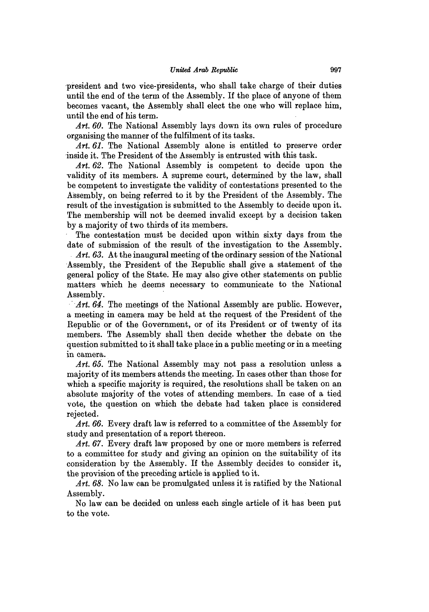president and two vice-presidents, who shall take charge of their duties until the end of the term of the Assembly. **If** the place of anyone of them becomes vacant, the Assembly shall elect the one who will replace him, until the end of his term.

Art. 60. The National Assembly lays down its own rules of procedure organising the manner of the fulfilment of its tasks.

Art. 61. The National Assembly alone is entitled to preserve order inside it. The President of the Assembly is entrusted with this task.

Art. 62. The National Assembly is competent to decide upon the validity of its members. **A** supreme court, determined **by** the law, shall be competent to investigate the validity of contestations presented to the Assembly, on being referred to it **by** the President of the Assembly. The result of the investigation is submitted to the Assembly to decide upon it. The membership will not be deemed invalid except **by** a decision taken **by** a majority of two thirds of its members.

The contestation must be decided upon within sixty days from the date of submission of the result of the investigation to the Assembly.

*. Art. 63.* At the inaugural meeting of the ordinary session of the National Assembly, the President of the Republic shall give a statement of the general policy of the State. He may also give other statements on public matters which he deems necessary to communicate to the National Assembly.

Art. 64. The meetings of the National Assembly are public. However, a meeting in camera may be held at the request of the President of the Republic or of the Government, or of its President or of twenty of its members. The Assembly shall then decide whether the debate on the question submitted to it shall take place in a public meeting or in a meeting in camera.

Art. 65. The National Assembly may not pass a resolution unless a majority of its members attends the meeting. In cases other than those for which a specific majority is required, the resolutions shall be taken on an absolute majority of the votes of attending members. In case of a tied vote, the question on which the debate had taken place is considered rejected.

Art. 66. Every draft law is referred to a committee of the Assembly for study and presentation of a report thereon.

*Art. 67.* Every draft law proposed **by** one or more members is referred to a committee for study and giving an opinion on the suitability of its consideration **by** the Assembly. If the Assembly decides to consider it, the provision of the preceding article is applied to it.

*Art. 68.* No law can be promulgated unless it is ratified **by** the National Assembly.

No law can be decided on unless each single article of it has been put to the vote.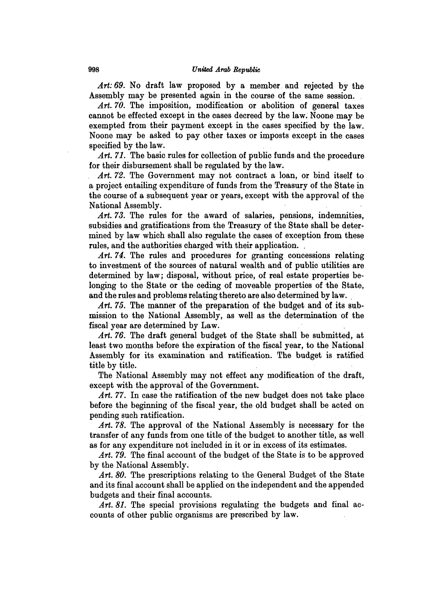*Art: 69.* No draft law proposed **by** a member. and rejected **by** the Assembly may be presented again in the course of the same session.

Art. 70. The imposition, modification or abolition of general taxes cannot be effected except in the cases decreed **by** the law. Noone may be exempted from their payment except in the cases specified **by** the law. Noone may be asked to pay other taxes or imposts except in the cases specified **by** the law.

*Art. 71.* The basic rules for collection of public funds and the procedure for their disbursement shall be regulated **by** the law.

*Art. 72.* The Government may not contract a loan, or bind itself to a project entailing expenditure of funds from the Treasury of the State in the course of a subsequent year or years, except with the approval of the National Assembly.

*Art. 73.* The rules for the award of salaries, pensions, indemnities, subsidies and gratifications from the Treasury of the State shall be determined **by** law which shall also regulate the cases of exception from these rules, and the authorities charged with their application.

Art. 74. The rules and procedures for granting concessions relating to investment of the sources of natural wealth and of public utilities are determined **by** law; disposal, without price, of real estate properties belonging to the State or the ceding of moveable properties of the State, and the rules and problems relating thereto are also determined **by** law.

*Art. 75.* The manner of the preparation of the budget and of its submission to the National Assembly, as well as the determination of the fiscal year are determined **by** Law.

*Art. 76.* The draft general budget of the State shall be submitted, at least two months before the expiration of the fiscal year, to the National Assembly for its examination and ratification. The budget is ratified title **by** title.

The National Assembly may not effect any modification of the draft, except with the approval of the Government.

*Art.* **77.** In case the ratification of the new budget does not take place before the beginning of the fiscal year, the old budget shall be acted on pending such ratification.

Art. 78. The approval of the National Assembly is necessary for the transfer of any funds from one title of the budget to another title, as well as for any expenditure not included in it or in excess of its estimates.

*Art. 79.* The final account of the budget of the State is to be approved **by** the National Assembly.

Art. 80. The prescriptions relating to the General Budget of the State and its final account shall be applied on the independent and the appended budgets and their final accounts.

Art. 81. The special provisions regulating the budgets and final accounts of other public organisms are prescribed **by** law.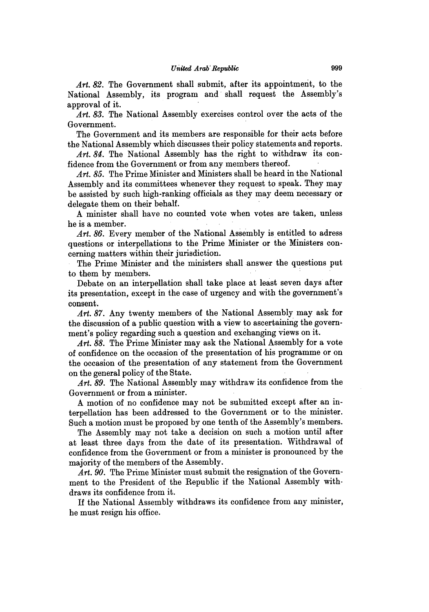*Art. 82.* The Government shall submit, after its appointment, to the National Assembly, its program and shall request the Assembly's approval of it.

*Art. 83.* The National Assembly exercises control over the acts of the Government.

The Government and its members are responsible for their acts before the National Assembly which discusses their policy statements and reports.

Art. 84. The National Assembly has the right to withdraw its confidence from the Government or from any members thereof.

*Art. 85.* The Prime Minister and Ministers shall be heard in the National Assembly and its committees whenever they request to speak. They may be assisted **by** such high-ranking officials as they may deem necessary or delegate them on their behalf.

**A** minister shall have no counted vote when votes are taken, unless he is a member.

*Art. 86.* Every member of the National Assembly is entitled to adress questions or interpellations to the Prime Minister or the Ministers concerning matters within their jurisdiction.

The Prime Minister and the ministers shall answer the questions put to them **by** members.

Debate on an interpellation shall take place at least seven days after its presentation, except in the case of urgency and with the government's consent.

*Art. 87.* Any twenty members of the National Assembly may ask for the discussion of a public question with a view to ascertaining the government's policy regarding such a question and exchanging views on it.

*Art. 88.* The Prime Minister may ask the National Assembly for a vote of confidence on the occasion of the presentation of his programme or on the occasion of the presentation of any statement from the Government on the general policy of the State.

*Art. 89.* The National Assembly may withdraw its confidence from the Government or from a minister.

**A** motion of no confidence may not be submitted except after an interpellation has been addressed to the Government or to the minister. Such a motion must be proposed **by** one tenth of the Assembly's members.

The Assembly may not take a decision on such a motion until after at least three days from the date of its presentation. Withdrawal of confidence from the Government or from a minister is pronounced **by** the majority of the members of the Assembly.

*Art. 90.* The Prime Minister must submit the resignation of the Government to the President of the Republic if the National Assembly withdraws its confidence from it.

If the National Assembly withdraws its confidence from any minister, he must resign his office.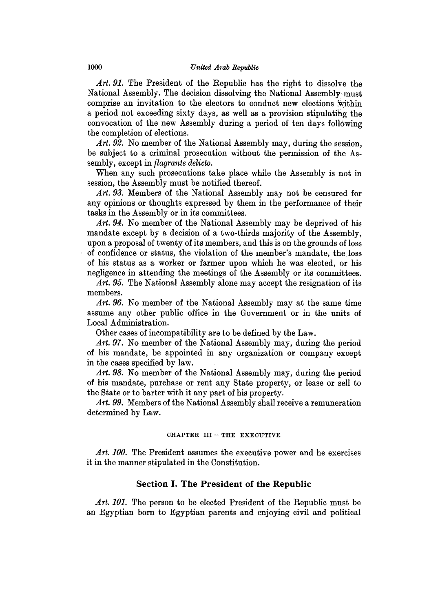*Art. 91.* The President of the Republic has the right to dissolve the National Assembly. The decision dissolving the National Assembly-must comprise an invitation to the electors to conduct new elections 'within a period not exceeding sixty days, as well as a provision stipulating the convocation of the new Assembly during a period of ten days following the completion of elections.

Art. 92. No member of the National Assembly may, during the session, be subject to a criminal prosecution without the permission of the Assembly, except in *flagrante delicto.*

When any such prosecutions take place while the Assembly is not in session, the Assembly must be notified thereof.

Art. 93. Members of the National Assembly may not be censured for any opinions or thoughts expressed **by** them in the performance of their tasks in the Assembly or in its committees.

*Art. 94.* No member of the National Assembly may be deprived of his mandate except **by** a decision of a two-thirds majority of the Assembly, upon a proposal of twenty of its members, and this is on the grounds of loss of confidence or status, the violation of the member's mandate, the, loss of his status as a worker or farmer upon which he was elected, or his negligence in attending the meetings of the Assembly or its committees.

Art. 95. The National Assembly alone may accept the resignation of its members.

Art. 96. No member of the National Assembly may at the same time assume any other public office in the Government or in the units of Local Administration.

Other cases of incompatibility are to be defined **by** the Law.

*Art. 97.* No member of the National Assembly may, during the period of his mandate, be appointed in any organization or company except in the cases specified **by** law.

*Art. 98.* No member of the National Assembly may, during the period of his mandate, purchase or rent any State property, or lease or sell to the State or to barter with it any part of his property.

*Art. 99.* Members of the National Assembly shall receive a remuneration determined **by** Law.

## **CHAPTER III - THE EXECUTIVE**

Art. 100. The President assumes the executive power and he exercises it in the manner stipulated in the Constitution.

# **Section I. The President of the Republic**

Art. 101. The person to be elected President of the Republic must be an Egyptian born to Egyptian parents and enjoying civil and political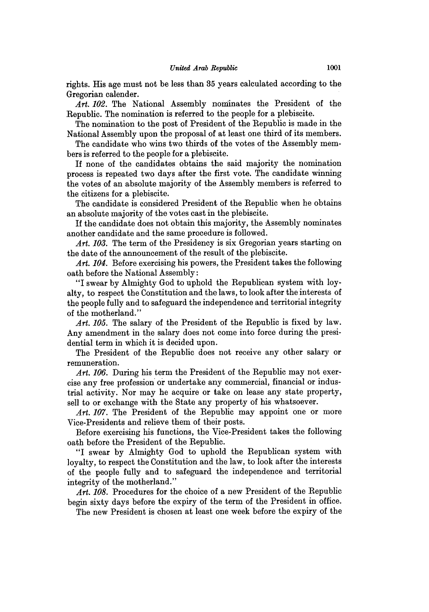rights. His age must not be less than **35** years calculated according to the Gregorian calender.

*Art. 102.* The National Assembly nominates the President of the Republic. The nomination is referred to the people for a plebiscite.

The nomination to the post of President of the Republic is made in the National Assembly upon the proposal of at least one third of its members.

The candidate who wins two thirds of the votes of the Assembly members is referred to the people for a plebiscite.

If none of the candidates obtains the said majority the nomination process is repeated two days after the first vote. The candidate winning the votes of an absolute majority of the Assembly members is referred to the citizens for a plebiscite.

The candidate is considered President of the Republic when he obtains an absolute majority of the votes cast in the plebiscite.

If the candidate does not obtain this majority, the Assembly nominates another candidate and the same procedure is followed.

Art. 103. The term of the Presidency is six Gregorian years starting on the date of the announcement of the result of the plebiscite.

*Art. 104.* Before exercising his powers, the President takes the following oath before the National Assembly:

"I swear **by** Almighty God to uphold the Republican system with loyalty, to respect the Constitution and the laws, to look after the interests of the people fully and to safeguard the independence and territorial integrity of the motherland."

*Art. 105.* The salary of the President of the Republic is fixed **by** law. Any amendment in the salary does not come into force during the presidential term in which it is decided upon.

The President of the Republic does not receive any other salary or remuneration.

*Art. 106.* During his term the President of the Republic may not exercise any free profession or undertake any commercial, financial or industrial activity. Nor may he acquire or take on lease any state property, sell to or exchange with the State any property of his whatsoever.

Art. 107. The President of the Republic may appoint one or more Vice-Presidents and relieve them of their posts.

Before exercising his functions, the Vice-President takes the following oath before the President of the Republic.

**"I** swear **by** Almighty God to uphold the Republican system with loyalty, to respect the Constitution and the law, to look after the interests of the people fully and to safeguard the independence and territorial integrity of the motherland."

Art. 108. Procedures for the choice of a new President of the Republic begin sixty days before the expiry of the term of the President in office.

The new President is chosen at least one week before the expiry of the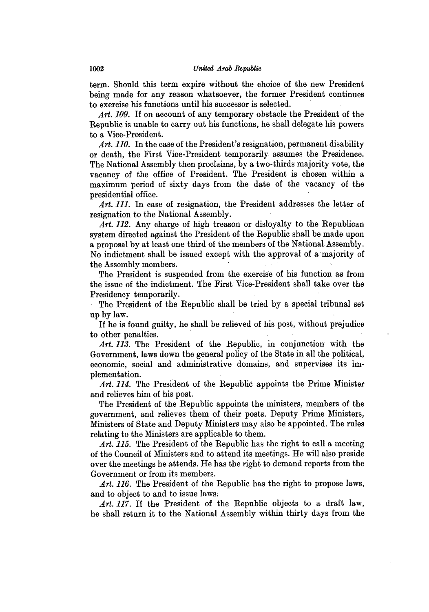term. Should this term expire without the choice of the new President being made for any reason whatsoever, the former President continues to exercise his functions until his successor is selected.

Art. 109. If on account of any temporary obstacle the President of the Republic is unable to carry out his functions, he shall delegate his powers to a Vice-President.

*Art. 110.* In the case of the President's resignation, permanent disability or death, the First Vice-President temporarily assumes the Presidence. The National Assembly then proclaims, **by** a two-thirds majority vote, the vacancy of the office of President. The President is chosen within a maximum period of sixty days from the date of the vacancy of the presidential office.

Art. 111. In case of resignation, the President addresses the letter of resignation to the National Assembly.

*Art. 112.* Any charge of high treason or disloyalty to the Republican system directed against the President of the Republic shall be made upon a proposal **by** at least one third of the members of the National. Assembly. No indictment shall be issued except with the approval of a majority of the Assembly members.

The President is suspended from the exercise of his function as from the issue of the indictment. The First Vice-President shall take over the Presidency temporarily.

The President of the Republic shall be tried **by** a special tribunal set up **by** law.

If he is found guilty, he shall be relieved of his post, without prejudice to other penalties.

*Art. 113.* The President of the Republic, in conjunction with the Government, laws down the general policy of the State in all the political, economic, social and administrative domains, and supervises its implementation.

*Art. 114.* The President of the Republic appoints the Prime Minister and relieves him of his post.

The President of the Republic appoints the ministers, members of the government, and relieves them of their posts. Deputy Prime Ministers, Ministers of State and Deputy Ministers may also be appointed. The rules relating to the Ministers are applicable to them.

*Art. 115.* The President of the Republic has the right to call a meeting of the Council of Ministers and to attend its meetings. He will also preside over the meetings he attends. He has the right to demand reports from the Government or from its members.

*Art. 116.* The President of the Republic has the right to propose laws, and to object to and to issue laws.

*Art. 117.* **If** the President of the Republic objects to a draft law, he shall return it to the National Assembly within thirty days from the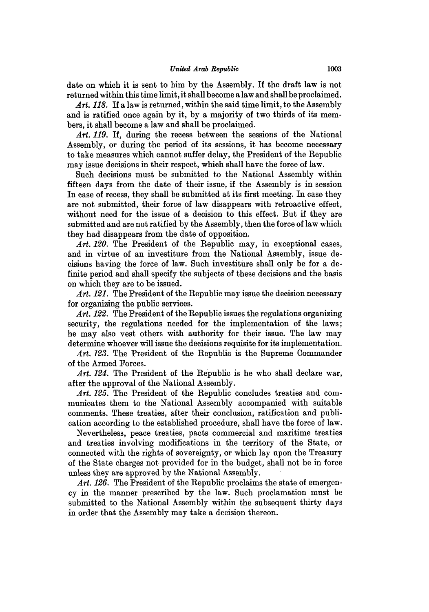date on which it is sent to him **by** the Assembly. If the draft law is not returned within this time limit, it shall become a law and shall be proclaimed.

*Art. 118.* If a law is returned, within the said time limit, to the Assembly and is ratified once again **by** it, **by** a majority of two thirds of its members, it shall become a law and shall be proclaimed.

*Art. 119.* If, during the recess between the sessions of the National Assembly, or during the period of its sessions, it has become necessary to take measures which cannot suffer delay, the President of the Republic may issue decisions in their respect, which shall have the force of law.

Such decisions must be submitted to the National Assembly within fifteen days from the date of their issue, if the Assembly is in session In case of recess, they shall be submitted at its first meeting. In case they are not submitted, their force of law disappears with retroactive effect, without need for the issue of a decision to this effect. But if they are submitted and are not ratified **by** the Assembly, then the force of law which they had disappears from the date of opposition.

Art. 120. The President of the Republic may, in exceptional cases, and in virtue of an investiture from the National Assembly, issue decisions having the force of law. Such investiture shall only be for a definite period and shall specify the subjects of these decisions and the basis on which they are to be issued.

Art. 121. The President of the Republic may issue the decision necessary for organizing the public services.

*Art. 122.* The President of the Republic issues the regulations organizing security, the regulations needed for the implementation of the laws; he may also vest others with authority for their issue. The law may determine whoever will issue the decisions requisite for its implementation.

*Art. 123.* The President of the Republic is the Supreme Commander of the Armed Forces.

*Art. 124.* The President of the Republic is he who shall declare war, after the approval of the National Assembly.

Art. 125. The President of the Republic concludes treaties and communicates them to the National Assembly accompanied with suitable comments. These treaties, after their conclusion, ratification and publication according to the established procedure, shall have the force of law.

Nevertheless, peace treaties, pacts commercial and maritime treaties and treaties involving modifications in the territory of the State, or connected with the rights of sovereignty, or which lay upon the Treasury of the State charges not provided for in the budget, shall not be in force unless they are approved **by** the National Assembly.

Art. 126. The President of the Republic proclaims the state of emergen**cy** in the manner prescribed **by** the law. Such proclamation must be submitted to the National Assembly within the subsequent thirty days in order that the Assembly may take a decision thereon.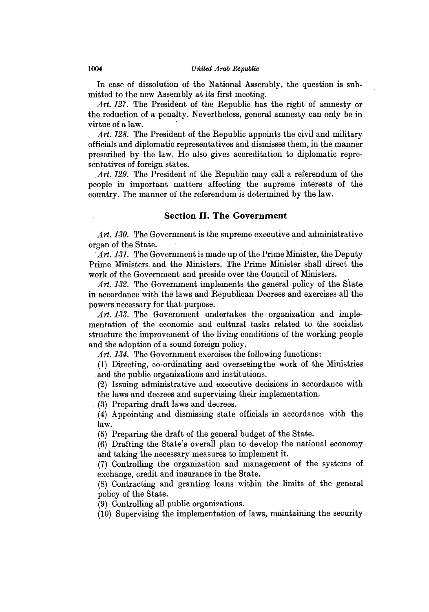In case of dissolution of the National Assembly, the question is submitted to the new Assembly at its first meeting.

*Art. 127.* The President of the Republic has the right of amnesty or the reduction of a penalty. Nevertheless, general amnesty can only be in virtue of a law.

*Art. 128.* The President of the Republic appoints the civil and military officials and diplomatic representatives and dismisses them, in the manner prescribed **by** the law. He also gives accreditation to diplomatic representatives of foreign states.

*.Art. 129.* The President of the Republic may call a referendum of the people in important matters affecting the supreme interests of the country. The manner of the referendum is determined **by** the law.

# **Section II. The Government**

*Art. 130.* The Government is the supreme executive and administrative organ of the State.

*Art. 131.* The Government is made up of the Prime Minister, the Deputy Prime Ministers. and. the Ministers. The Prime Minister shall direct the work of the Government and preside over the Council of Ministers.

*Art. 132.* The Government implements the general policy of the State in accordance with the laws and Republican Decrees and exercises all the powers necessary for that purpose.

Art. 133. The Government undertakes the organization and implementation of the economic and cultural tasks related to the socialist structure the improvement of the living conditions of the working people and the adoption of a sound foreign policy.

Art. 134. The Government exercises the following functions:

**(1)** Directing, co-ordinating and overseeing the work of the Ministries and the public organizations and institutions.

(2) Issuing administrative and executive decisions in accordance with the laws and decrees and supervising their implementation.

**(3)** Preparing draft laws and decrees.

(4) Appointing and dismissing state officials in accordance with the law.

**(5)** Preparing the draft of the general budget of the State.

**(6)** Drafting the State's overall plan to develop the national economy and taking the necessary measures to implement it.

**(7)** Controlling the organization and management of the systems of exchange, credit and insurance in the State.

**(8)** Contracting and granting loans within the limits of the general policy of the State.

**(9)** Controlling all public organizations.

**(10)** Supervising the implementation of laws, maintaining the security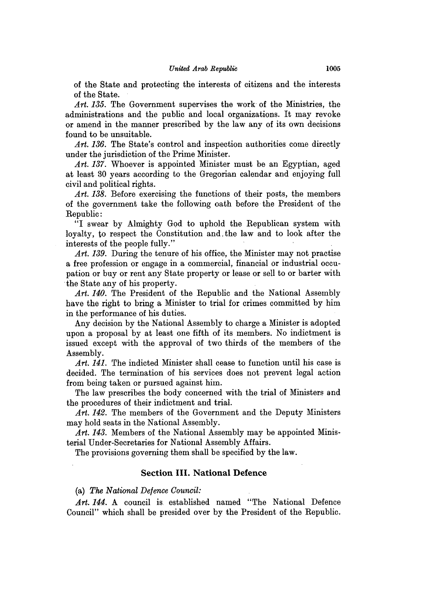of the State and protecting the interests of citizens and the interests of the State.

*Art. 135.* The Government supervises the work of the Ministries, the administrations and the public and local organizations. It may revoke or amend in the manner prescribed **by** the law any of its own decisions found to be unsuitable.

Art. 136. The State's control and inspection authorities come directly under the jurisdiction of the Prime Minister.

*Art. 137.* Whoever is appointed Minister must be an Egyptian, aged at least **30** years according to the Gregorian calendar and enjoying full civil and political rights.

*Art. 138.* Before exercising the functions of their posts, the members of the government take the following oath before the President of the Republic:

**"I** swear **by** Almighty God to uphold the Republican system with loyalty, to respect the Constitution and, the law and to look after the interests of the people fully."

Art. 139. During the tenure of his office, the Minister may not practise a free profession or engage in a commercial, financial or industrial occupation or buy or rent any State property or lease or sell to or barter with the State any of his property.

*Art. 140.* The President of the Republic and the National Assembly have the right to bring a Minister to trial for crimes committed **by** him in the performance of his duties.

Any decision **by** the National Assembly to charge a Minister is adopted upon a proposal **by** at least one fifth of its members. No indictment is issued except with the approval of two thirds of the members of the Assembly.

Art. 141. The indicted Minister shall cease to function until his case is decided. The termination of his services does not prevent legal action from being taken or pursued against him.

The law prescribes the body concerned with the trial of Ministers and the procedures of their indictment and trial.

*Art. 142.* The members of the Government and the Deputy Ministers may hold seats in the National Assembly.

Art. 143. Members of the National Assembly may be appointed Ministerial Under-Secretaries for National Assembly Affairs.

The provisions governing them shall be specified **by** the law.

## Section **III. National Defence**

(a) *The National Defence Council:*

Art. 144. A council is established named "The National Defence Council" which shall be presided over **by** the President of the Republic.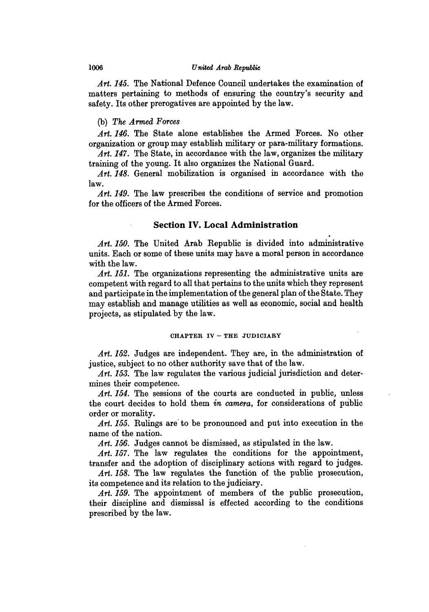#### **1006** United *Arab Repalic*

*Art. 145.* The National Defence Council undertakes the examination of matters pertaining to methods of ensuring the country's security and safety. Its other prerogatives are appointed **by** the law.

#### **(b)** *The Armed Forces*

*Art. 146.* The State alone establishes the Armed Forces. No other organization or group may establish military or para-military formations.

Art. 147. The State, in accordance with the law, organizes the military training of the young. It also organizes the National Guard.

*Art. 148.* General mobilization is organised in accordance with the law.

*Art. 149.* The law prescribes the conditions of service and promotion for the officers of the Armed Forces.

## Section **IV. Local Administration**

*Art. 150.* The United Arab Republic is divided into administrative units. Each or some of these units may have a moral person in accordance with the law.

Art. 151. The organizations representing the administrative units are competent with regard to all that pertains to the units which they represent and participate in the implementation of the general plan of the State. They may establish and manage utilities as well as economic, social and health projects, as stipulated, **by** the law.

## **CHAPTER IV - THE JUDICIARY**

*Art. 152.* Judges are independent. They are, in the administration of justice, subject to no other authority save that of the law.

*Art. 153.* The law regulates the various judicial jurisdiction and determines their competence.

*Art. 154.* The sessions of the courts are conducted in public, unless the court decides to hold them *in* camera, for considerations of public order or morality.

*Art. 155.* Rulings are to be pronounced and put into execution in the name of the nation.

*Art. 156.* Judges cannot be dismissed, as stipulated in the law.

Art. 157. The law regulates the conditions for the appointment, transfer and the adoption of disciplinary actions with regard to judges.

Art. 158. The law regulates the function of the public prosecution, its competence and its relation to the judiciary.

Art. 159. The appointment of members of the public prosecution, their discipline and dismissal is effected according to the conditions prescribed **by** the law.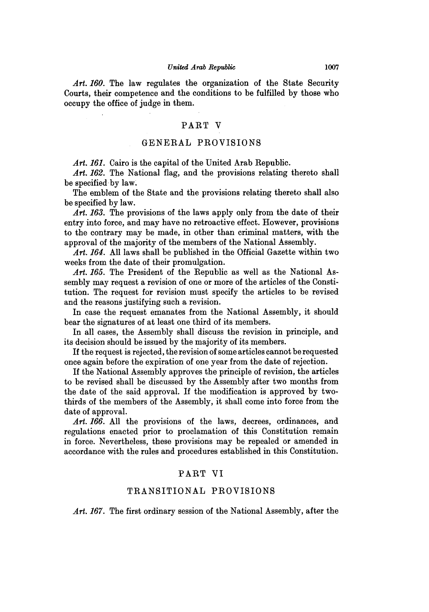Art. 160. The law regulates the organization of the State Security Courts, their competence and the conditions to be fulfilled **by** those who occupy the office of judge in them.

## PART V

#### **GENERAL** PROVISIONS

Art. 161. Cairo is the capital of the United Arab Republic.

Art. 162. The National flag, and the provisions relating thereto shall be specified by law.

The emblem of the State and the provisions relating thereto shall also be specified **by** law.

Art. 163. The provisions of the laws apply only from the date of their entry into force, and may have no retroactive effect. However, provisions to the contrary may be made, in other than criminal matters, with the approval of the majority of the members of the National Assembly.

*Art. 164.* **All** laws shall be published in the Official Gazette within two weeks from the date of their promulgation.

*Art. 165.* The President of the Republic as well as the National Assembly may request a revision of one or more of the articles of the Constitution. The request for revision must specify the articles to be revised and the reasons justifying such a revision.

In case the request emanates from the National Assembly, it should bear the signatures of at least one third of its members.

In all cases, the Assembly shall discuss the revision in principle, and its decision should be issued **by** the majority of its members.

If the request is rejected, the revision of some articles cannot be requested once again before the expiration of one year from the date of rejection.

If the National Assembly approves the principle of revision, the articles to be revised shall **be** discussed **by** the Assembly after two months from the date of the said approval. **If** the modification is approved **by** twothirds of the members of the Assembly, it shall come into force from the date of approval.

*Art. 166.* **All** the provisions of the laws, decrees, ordinances, and regulations enacted prior to proclamation of this Constitution remain in force. Nevertheless, these provisions may be repealed or amended in accordance with the rules and procedures established in this Constitution.

## PART VI

## TRANSITIONAL PROVISIONS

*Art. 167.* The first ordinary session of the National Assembly, after the